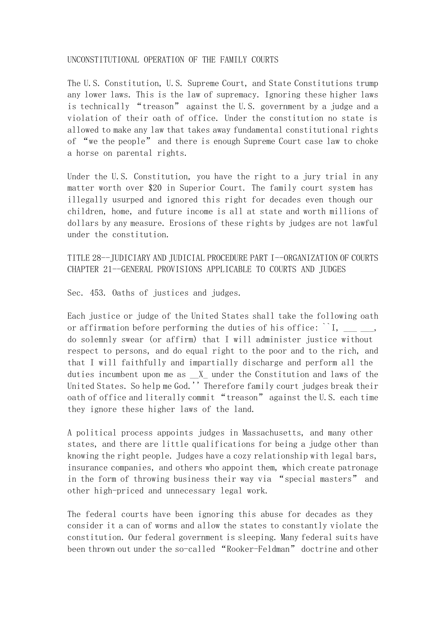## UNCONSTITUTIONAL OPERATION OF THE FAMILY COURTS

The U.S. Constitution, U.S. Supreme Court, and State Constitutions trump any lower laws. This is the law of supremacy. Ignoring these higher laws is technically "treason" against the U.S. government by a judge and a violation of their oath of office. Under the constitution no state is allowed to make any law that takes away fundamental constitutional rights of "we the people" and there is enough Supreme Court case law to choke a horse on parental rights.

Under the U.S. Constitution, you have the right to a jury trial in any matter worth over \$20 in Superior Court. The family court system has illegally usurped and ignored this right for decades even though our children, home, and future income is all at state and worth millions of dollars by any measure. Erosions of these rights by judges are not lawful under the constitution.

TITLE 28--JUDICIARY AND JUDICIAL PROCEDURE PART I--ORGANIZATION OF COURTS CHAPTER 21--GENERAL PROVISIONS APPLICABLE TO COURTS AND JUDGES

Sec. 453. Oaths of justices and judges.

Each justice or judge of the United States shall take the following oath or affirmation before performing the duties of his office:  $\dot{ }$  I, do solemnly swear (or affirm) that I will administer justice without respect to persons, and do equal right to the poor and to the rich, and that I will faithfully and impartially discharge and perform all the duties incumbent upon me as  $X$  under the Constitution and laws of the United States. So help me God.'' Therefore family court judges break their oath of office and literally commit "treason" against the U.S. each time they ignore these higher laws of the land.

A political process appoints judges in Massachusetts, and many other states, and there are little qualifications for being a judge other than knowing the right people. Judges have a cozy relationship with legal bars, insurance companies, and others who appoint them, which create patronage in the form of throwing business their way via "special masters" and other high-priced and unnecessary legal work.

The federal courts have been ignoring this abuse for decades as they consider it a can of worms and allow the states to constantly violate the constitution. Our federal government is sleeping. Many federal suits have been thrown out under the so-called "Rooker-Feldman" doctrine and other